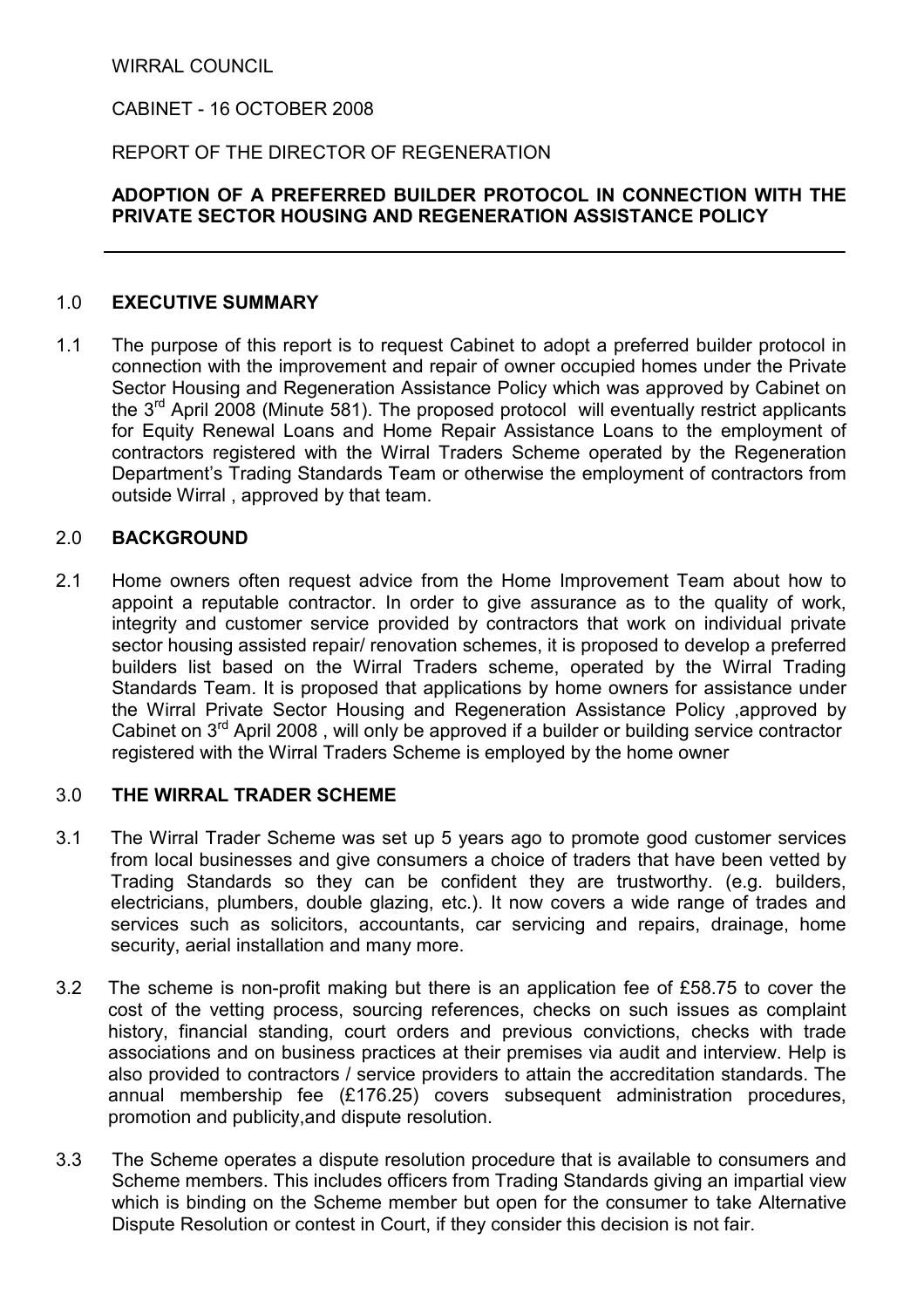WIRRAL COUNCIL

CABINET - 16 OCTOBER 2008

## REPORT OF THE DIRECTOR OF REGENERATION

# ADOPTION OF A PREFERRED BUILDER PROTOCOL IN CONNECTION WITH THE PRIVATE SECTOR HOUSING AND REGENERATION ASSISTANCE POLICY

#### 1.0 EXECUTIVE SUMMARY

1.1 The purpose of this report is to request Cabinet to adopt a preferred builder protocol in connection with the improvement and repair of owner occupied homes under the Private Sector Housing and Regeneration Assistance Policy which was approved by Cabinet on the  $3<sup>rd</sup>$  April 2008 (Minute 581). The proposed protocol will eventually restrict applicants for Equity Renewal Loans and Home Repair Assistance Loans to the employment of contractors registered with the Wirral Traders Scheme operated by the Regeneration Department's Trading Standards Team or otherwise the employment of contractors from outside Wirral , approved by that team.

### 2.0 BACKGROUND

2.1 Home owners often request advice from the Home Improvement Team about how to appoint a reputable contractor. In order to give assurance as to the quality of work, integrity and customer service provided by contractors that work on individual private sector housing assisted repair/ renovation schemes, it is proposed to develop a preferred builders list based on the Wirral Traders scheme, operated by the Wirral Trading Standards Team. It is proposed that applications by home owners for assistance under the Wirral Private Sector Housing and Regeneration Assistance Policy ,approved by Cabinet on  $3<sup>rd</sup>$  April 2008, will only be approved if a builder or building service contractor registered with the Wirral Traders Scheme is employed by the home owner

#### 3.0 THE WIRRAL TRADER SCHEME

- 3.1 The Wirral Trader Scheme was set up 5 years ago to promote good customer services from local businesses and give consumers a choice of traders that have been vetted by Trading Standards so they can be confident they are trustworthy. (e.g. builders, electricians, plumbers, double glazing, etc.). It now covers a wide range of trades and services such as solicitors, accountants, car servicing and repairs, drainage, home security, aerial installation and many more.
- 3.2 The scheme is non-profit making but there is an application fee of £58.75 to cover the cost of the vetting process, sourcing references, checks on such issues as complaint history, financial standing, court orders and previous convictions, checks with trade associations and on business practices at their premises via audit and interview. Help is also provided to contractors / service providers to attain the accreditation standards. The annual membership fee (£176.25) covers subsequent administration procedures, promotion and publicity,and dispute resolution.
- 3.3 The Scheme operates a dispute resolution procedure that is available to consumers and Scheme members. This includes officers from Trading Standards giving an impartial view which is binding on the Scheme member but open for the consumer to take Alternative Dispute Resolution or contest in Court, if they consider this decision is not fair.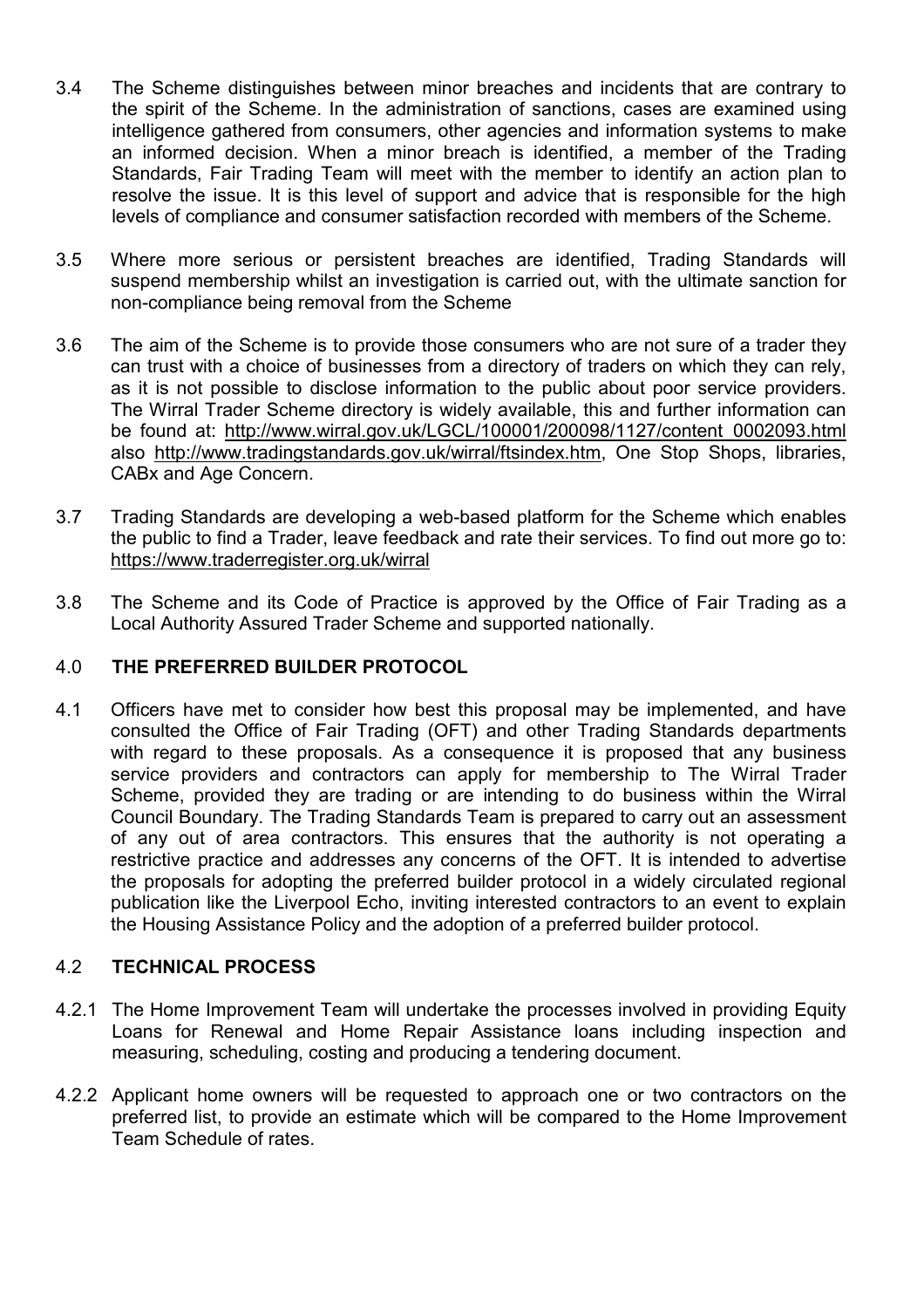- 3.4 The Scheme distinguishes between minor breaches and incidents that are contrary to the spirit of the Scheme. In the administration of sanctions, cases are examined using intelligence gathered from consumers, other agencies and information systems to make an informed decision. When a minor breach is identified, a member of the Trading Standards, Fair Trading Team will meet with the member to identify an action plan to resolve the issue. It is this level of support and advice that is responsible for the high levels of compliance and consumer satisfaction recorded with members of the Scheme.
- 3.5 Where more serious or persistent breaches are identified, Trading Standards will suspend membership whilst an investigation is carried out, with the ultimate sanction for non-compliance being removal from the Scheme
- 3.6 The aim of the Scheme is to provide those consumers who are not sure of a trader they can trust with a choice of businesses from a directory of traders on which they can rely, as it is not possible to disclose information to the public about poor service providers. The Wirral Trader Scheme directory is widely available, this and further information can be found at: http://www.wirral.gov.uk/LGCL/100001/200098/1127/content\_0002093.html also http://www.tradingstandards.gov.uk/wirral/ftsindex.htm, One Stop Shops, libraries, CABx and Age Concern.
- 3.7 Trading Standards are developing a web-based platform for the Scheme which enables the public to find a Trader, leave feedback and rate their services. To find out more go to: https://www.traderregister.org.uk/wirral
- 3.8 The Scheme and its Code of Practice is approved by the Office of Fair Trading as a Local Authority Assured Trader Scheme and supported nationally.

### 4.0 THE PREFERRED BUILDER PROTOCOL

4.1 Officers have met to consider how best this proposal may be implemented, and have consulted the Office of Fair Trading (OFT) and other Trading Standards departments with regard to these proposals. As a consequence it is proposed that any business service providers and contractors can apply for membership to The Wirral Trader Scheme, provided they are trading or are intending to do business within the Wirral Council Boundary. The Trading Standards Team is prepared to carry out an assessment of any out of area contractors. This ensures that the authority is not operating a restrictive practice and addresses any concerns of the OFT. It is intended to advertise the proposals for adopting the preferred builder protocol in a widely circulated regional publication like the Liverpool Echo, inviting interested contractors to an event to explain the Housing Assistance Policy and the adoption of a preferred builder protocol.

# 4.2 TECHNICAL PROCESS

- 4.2.1 The Home Improvement Team will undertake the processes involved in providing Equity Loans for Renewal and Home Repair Assistance loans including inspection and measuring, scheduling, costing and producing a tendering document.
- 4.2.2 Applicant home owners will be requested to approach one or two contractors on the preferred list, to provide an estimate which will be compared to the Home Improvement Team Schedule of rates.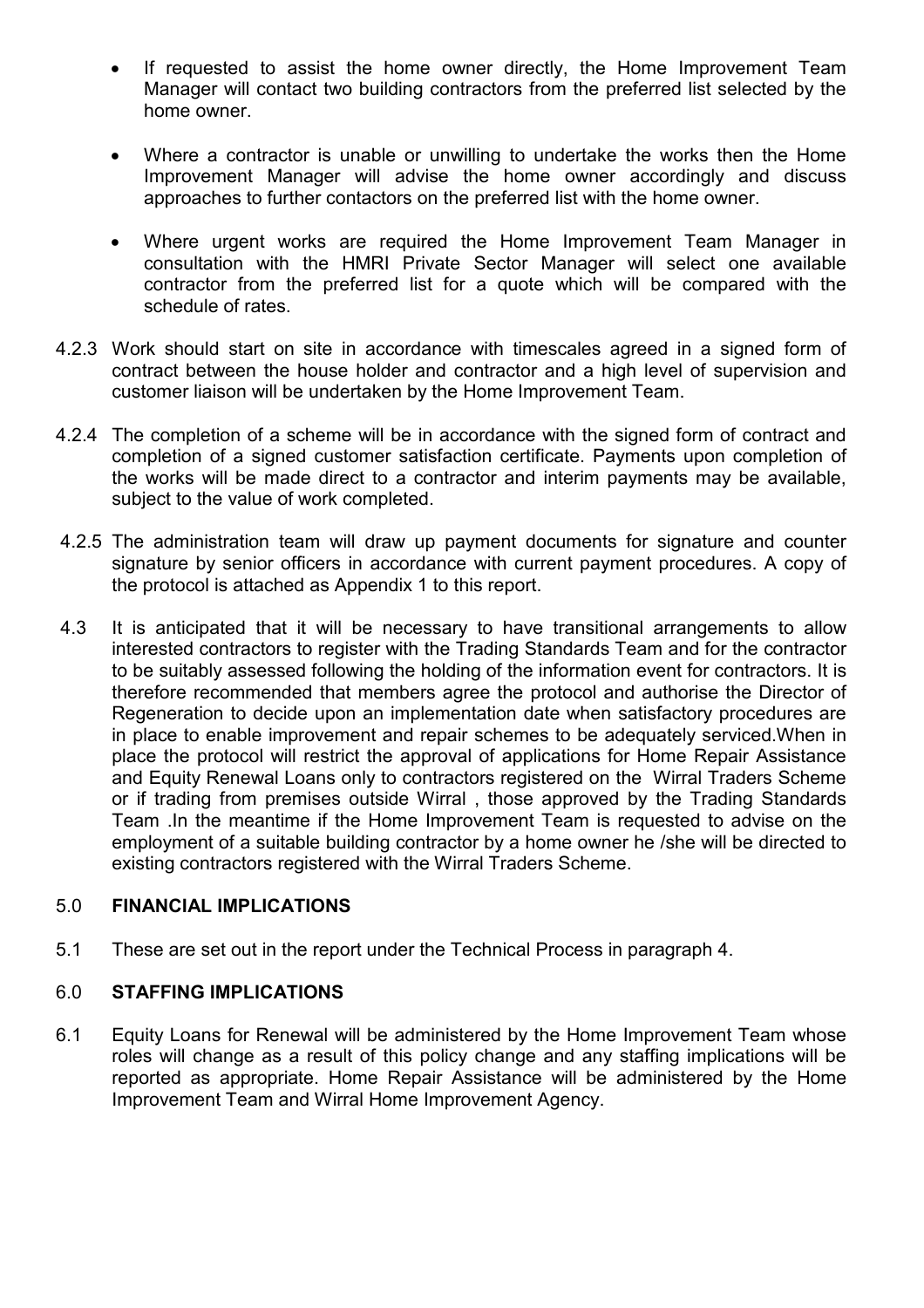- If requested to assist the home owner directly, the Home Improvement Team Manager will contact two building contractors from the preferred list selected by the home owner.
- Where a contractor is unable or unwilling to undertake the works then the Home Improvement Manager will advise the home owner accordingly and discuss approaches to further contactors on the preferred list with the home owner.
- Where urgent works are required the Home Improvement Team Manager in consultation with the HMRI Private Sector Manager will select one available contractor from the preferred list for a quote which will be compared with the schedule of rates.
- 4.2.3 Work should start on site in accordance with timescales agreed in a signed form of contract between the house holder and contractor and a high level of supervision and customer liaison will be undertaken by the Home Improvement Team.
- 4.2.4 The completion of a scheme will be in accordance with the signed form of contract and completion of a signed customer satisfaction certificate. Payments upon completion of the works will be made direct to a contractor and interim payments may be available, subject to the value of work completed.
- 4.2.5 The administration team will draw up payment documents for signature and counter signature by senior officers in accordance with current payment procedures. A copy of the protocol is attached as Appendix 1 to this report.
- 4.3 It is anticipated that it will be necessary to have transitional arrangements to allow interested contractors to register with the Trading Standards Team and for the contractor to be suitably assessed following the holding of the information event for contractors. It is therefore recommended that members agree the protocol and authorise the Director of Regeneration to decide upon an implementation date when satisfactory procedures are in place to enable improvement and repair schemes to be adequately serviced.When in place the protocol will restrict the approval of applications for Home Repair Assistance and Equity Renewal Loans only to contractors registered on the Wirral Traders Scheme or if trading from premises outside Wirral , those approved by the Trading Standards Team .In the meantime if the Home Improvement Team is requested to advise on the employment of a suitable building contractor by a home owner he /she will be directed to existing contractors registered with the Wirral Traders Scheme.

### 5.0 FINANCIAL IMPLICATIONS

5.1 These are set out in the report under the Technical Process in paragraph 4.

### 6.0 STAFFING IMPLICATIONS

6.1 Equity Loans for Renewal will be administered by the Home Improvement Team whose roles will change as a result of this policy change and any staffing implications will be reported as appropriate. Home Repair Assistance will be administered by the Home Improvement Team and Wirral Home Improvement Agency.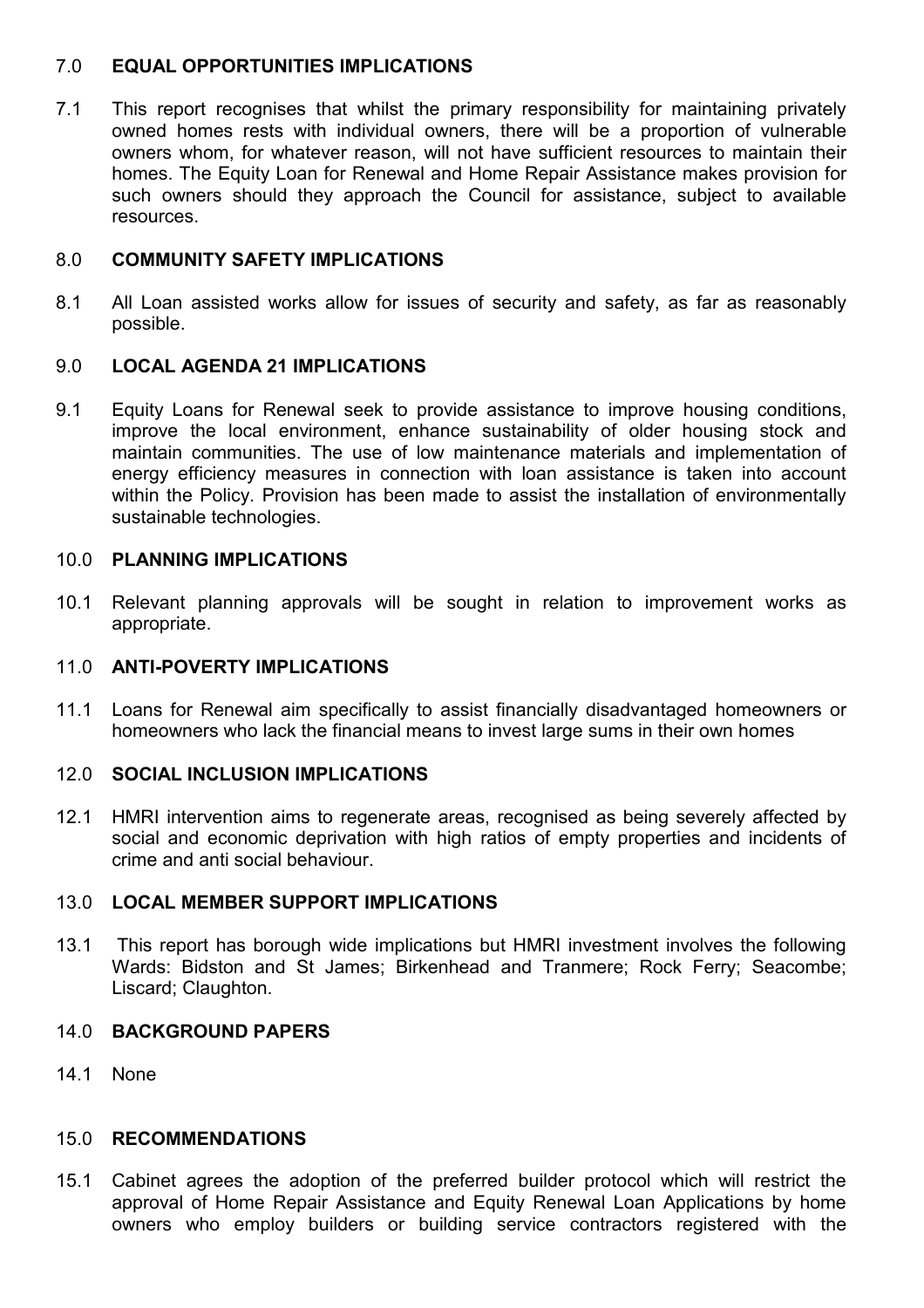### 7.0 EQUAL OPPORTUNITIES IMPLICATIONS

7.1 This report recognises that whilst the primary responsibility for maintaining privately owned homes rests with individual owners, there will be a proportion of vulnerable owners whom, for whatever reason, will not have sufficient resources to maintain their homes. The Equity Loan for Renewal and Home Repair Assistance makes provision for such owners should they approach the Council for assistance, subject to available resources.

#### 8.0 COMMUNITY SAFETY IMPLICATIONS

8.1 All Loan assisted works allow for issues of security and safety, as far as reasonably possible.

#### 9.0 LOCAL AGENDA 21 IMPLICATIONS

9.1 Equity Loans for Renewal seek to provide assistance to improve housing conditions, improve the local environment, enhance sustainability of older housing stock and maintain communities. The use of low maintenance materials and implementation of energy efficiency measures in connection with loan assistance is taken into account within the Policy. Provision has been made to assist the installation of environmentally sustainable technologies.

#### 10.0 PLANNING IMPLICATIONS

10.1 Relevant planning approvals will be sought in relation to improvement works as appropriate.

### 11.0 ANTI-POVERTY IMPLICATIONS

11.1 Loans for Renewal aim specifically to assist financially disadvantaged homeowners or homeowners who lack the financial means to invest large sums in their own homes

## 12.0 SOCIAL INCLUSION IMPLICATIONS

12.1 HMRI intervention aims to regenerate areas, recognised as being severely affected by social and economic deprivation with high ratios of empty properties and incidents of crime and anti social behaviour.

### 13.0 LOCAL MEMBER SUPPORT IMPLICATIONS

13.1 This report has borough wide implications but HMRI investment involves the following Wards: Bidston and St James; Birkenhead and Tranmere; Rock Ferry; Seacombe; Liscard; Claughton.

#### 14.0 BACKGROUND PAPERS

14.1 None

#### 15.0 RECOMMENDATIONS

15.1 Cabinet agrees the adoption of the preferred builder protocol which will restrict the approval of Home Repair Assistance and Equity Renewal Loan Applications by home owners who employ builders or building service contractors registered with the